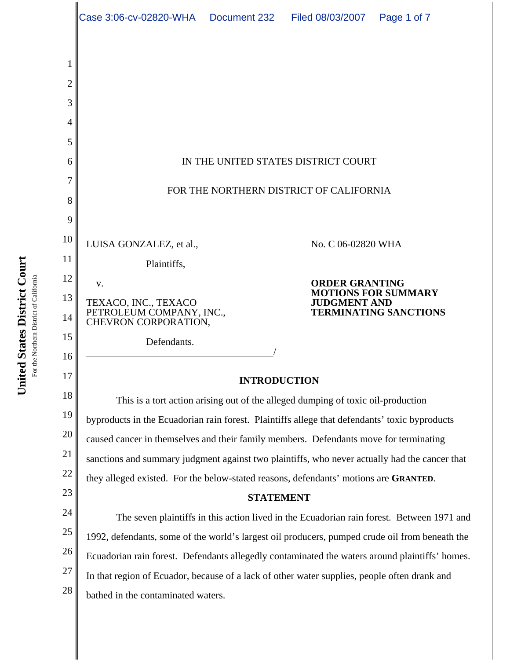|                                 | Case 3:06-cv-02820-WHA   Document 232                                                                                                                                                       |  | Filed 08/03/2007                             | Page 1 of 7                                                |  |  |
|---------------------------------|---------------------------------------------------------------------------------------------------------------------------------------------------------------------------------------------|--|----------------------------------------------|------------------------------------------------------------|--|--|
| 1<br>2<br>3<br>4<br>5<br>6<br>7 |                                                                                                                                                                                             |  | IN THE UNITED STATES DISTRICT COURT          |                                                            |  |  |
| 8<br>9                          | FOR THE NORTHERN DISTRICT OF CALIFORNIA                                                                                                                                                     |  |                                              |                                                            |  |  |
| 10<br>11                        | LUISA GONZALEZ, et al.,<br>Plaintiffs,                                                                                                                                                      |  | No. C 06-02820 WHA                           |                                                            |  |  |
| 12<br>13<br>14                  | V.<br>TEXACO, INC., TEXACO<br>PETROLEUM COMPANY, INC.,<br>CHEVRON CORPORATION,                                                                                                              |  | <b>ORDER GRANTING</b><br><b>JUDGMENT AND</b> | <b>MOTIONS FOR SUMMARY</b><br><b>TERMINATING SANCTIONS</b> |  |  |
| 15<br>16                        | Defendants.                                                                                                                                                                                 |  |                                              |                                                            |  |  |
| 17                              | <b>INTRODUCTION</b>                                                                                                                                                                         |  |                                              |                                                            |  |  |
| 18                              | This is a tort action arising out of the alleged dumping of toxic oil-production                                                                                                            |  |                                              |                                                            |  |  |
| 19                              | byproducts in the Ecuadorian rain forest. Plaintiffs allege that defendants' toxic byproducts                                                                                               |  |                                              |                                                            |  |  |
| 20                              | caused cancer in themselves and their family members. Defendants move for terminating                                                                                                       |  |                                              |                                                            |  |  |
| 21                              | sanctions and summary judgment against two plaintiffs, who never actually had the cancer that                                                                                               |  |                                              |                                                            |  |  |
| 22<br>23                        | they alleged existed. For the below-stated reasons, defendants' motions are GRANTED.                                                                                                        |  |                                              |                                                            |  |  |
| 24                              | <b>STATEMENT</b>                                                                                                                                                                            |  |                                              |                                                            |  |  |
| 25                              | The seven plaintiffs in this action lived in the Ecuadorian rain forest. Between 1971 and<br>1992, defendants, some of the world's largest oil producers, pumped crude oil from beneath the |  |                                              |                                                            |  |  |
| 26                              | Ecuadorian rain forest. Defendants allegedly contaminated the waters around plaintiffs' homes.                                                                                              |  |                                              |                                                            |  |  |
| 27                              |                                                                                                                                                                                             |  |                                              |                                                            |  |  |
| 28                              | In that region of Ecuador, because of a lack of other water supplies, people often drank and<br>bathed in the contaminated waters.                                                          |  |                                              |                                                            |  |  |
|                                 |                                                                                                                                                                                             |  |                                              |                                                            |  |  |

United States District Court<br>For the Northern District of California **United States District Court**

For the Northern District of California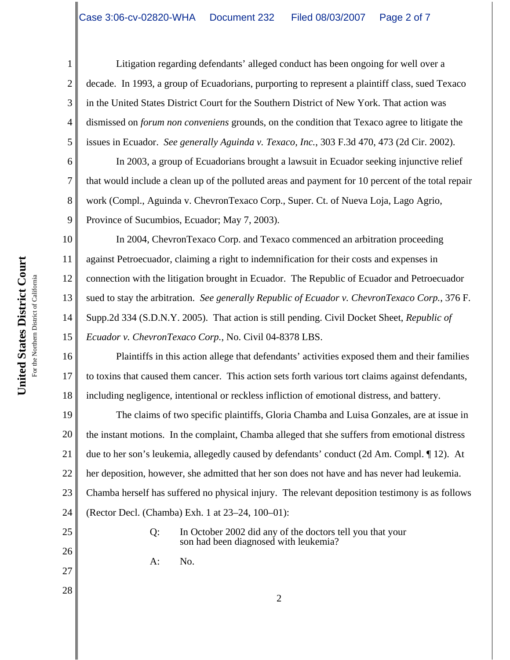Litigation regarding defendants' alleged conduct has been ongoing for well over a decade. In 1993, a group of Ecuadorians, purporting to represent a plaintiff class, sued Texaco in the United States District Court for the Southern District of New York. That action was dismissed on *forum non conveniens* grounds, on the condition that Texaco agree to litigate the issues in Ecuador. *See generally Aguinda v. Texaco, Inc.*, 303 F.3d 470, 473 (2d Cir. 2002).

In 2003, a group of Ecuadorians brought a lawsuit in Ecuador seeking injunctive relief that would include a clean up of the polluted areas and payment for 10 percent of the total repair work (Compl., Aguinda v. ChevronTexaco Corp., Super. Ct. of Nueva Loja, Lago Agrio, Province of Sucumbios, Ecuador; May 7, 2003).

10 11 12 13 14 15 In 2004, ChevronTexaco Corp. and Texaco commenced an arbitration proceeding against Petroecuador, claiming a right to indemnification for their costs and expenses in connection with the litigation brought in Ecuador. The Republic of Ecuador and Petroecuador sued to stay the arbitration. *See generally Republic of Ecuador v. ChevronTexaco Corp.*, 376 F. Supp.2d 334 (S.D.N.Y. 2005). That action is still pending. Civil Docket Sheet, *Republic of Ecuador v. ChevronTexaco Corp.*, No. Civil 04-8378 LBS.

16 17 18 Plaintiffs in this action allege that defendants' activities exposed them and their families to toxins that caused them cancer. This action sets forth various tort claims against defendants, including negligence, intentional or reckless infliction of emotional distress, and battery.

19 20 21 22 23 24 The claims of two specific plaintiffs, Gloria Chamba and Luisa Gonzales, are at issue in the instant motions. In the complaint, Chamba alleged that she suffers from emotional distress due to her son's leukemia, allegedly caused by defendants' conduct (2d Am. Compl. ¶ 12). At her deposition, however, she admitted that her son does not have and has never had leukemia. Chamba herself has suffered no physical injury. The relevant deposition testimony is as follows (Rector Decl. (Chamba) Exh. 1 at 23–24, 100–01):

> Q: In October 2002 did any of the doctors tell you that your son had been diagnosed with leukemia?

> > 2

A: No.

1

2

3

4

5

6

7

8

9

25

26

27

28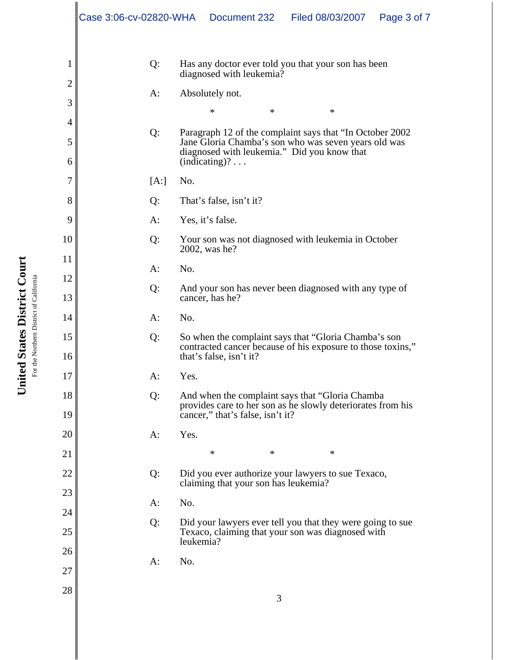|                | Case 3:06-cv-02820-WHA | Document 232                                                                                                                 | Filed 08/03/2007 | Page 3 of 7                                                 |  |  |
|----------------|------------------------|------------------------------------------------------------------------------------------------------------------------------|------------------|-------------------------------------------------------------|--|--|
| 1              | Q:                     | Has any doctor ever told you that your son has been                                                                          |                  |                                                             |  |  |
| $\overline{c}$ |                        | diagnosed with leukemia?                                                                                                     |                  |                                                             |  |  |
| 3              | A:                     | Absolutely not.                                                                                                              |                  |                                                             |  |  |
| 4              |                        | *                                                                                                                            | *<br>*           |                                                             |  |  |
| 5              | Q:                     | Paragraph 12 of the complaint says that "In October 2002<br>Jane Gloria Chamba's son who was seven years old was             |                  |                                                             |  |  |
| 6              |                        | diagnosed with leukemia." Did you know that<br>$(indicating)? \dots$                                                         |                  |                                                             |  |  |
| $\overline{7}$ | [A:]                   | No.                                                                                                                          |                  |                                                             |  |  |
| 8              | Q:                     | That's false, isn't it?                                                                                                      |                  |                                                             |  |  |
| 9              | A:                     | Yes, it's false.                                                                                                             |                  |                                                             |  |  |
| 10             | Q:                     | Your son was not diagnosed with leukemia in October                                                                          |                  |                                                             |  |  |
| 11             |                        | 2002, was he?                                                                                                                |                  |                                                             |  |  |
| 12             | $A$ :                  | No.                                                                                                                          |                  |                                                             |  |  |
| 13             | Q:                     | And your son has never been diagnosed with any type of<br>cancer, has he?                                                    |                  |                                                             |  |  |
| 14             | A:                     | No.                                                                                                                          |                  |                                                             |  |  |
| 15             | Q:                     | So when the complaint says that "Gloria Chamba's son                                                                         |                  |                                                             |  |  |
| 16             |                        | contracted cancer because of his exposure to those toxins,"<br>that's false, isn't it?                                       |                  |                                                             |  |  |
| 17             | A:                     | Yes.                                                                                                                         |                  |                                                             |  |  |
| 18             | Q:                     | And when the complaint says that "Gloria Chamba"                                                                             |                  | provides care to her son as he slowly deteriorates from his |  |  |
| 19             |                        | cancer," that's false, isn't it?                                                                                             |                  |                                                             |  |  |
| 20             | $A$ :                  | Yes.                                                                                                                         |                  |                                                             |  |  |
| 21             |                        | $\ast$                                                                                                                       | $\ast$<br>∗      |                                                             |  |  |
| 22             | Q:                     | Did you ever authorize your lawyers to sue Texaco,                                                                           |                  |                                                             |  |  |
| 23             |                        | claiming that your son has leukemia?                                                                                         |                  |                                                             |  |  |
| 24             | $A$ :                  | No.                                                                                                                          |                  |                                                             |  |  |
| 25             | Q:                     | Did your lawyers ever tell you that they were going to sue<br>Texaco, claiming that your son was diagnosed with<br>leukemia? |                  |                                                             |  |  |
| 26             | $A$ :                  | No.                                                                                                                          |                  |                                                             |  |  |
| 27             |                        |                                                                                                                              |                  |                                                             |  |  |
| 28             |                        |                                                                                                                              | 3                |                                                             |  |  |

United States District Court **United States District Court** For the Northern District of California For the Northern District of California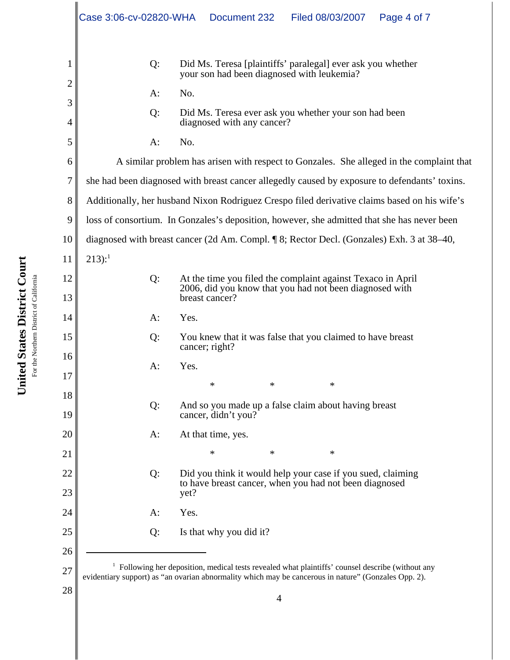|                | Case 3:06-cv-02820-WHA                                                                          | Document 232<br>Filed 08/03/2007<br>Page 4 of 7                                                           |  |  |  |  |
|----------------|-------------------------------------------------------------------------------------------------|-----------------------------------------------------------------------------------------------------------|--|--|--|--|
| 1              | Q:                                                                                              | Did Ms. Teresa [plaintiffs' paralegal] ever ask you whether<br>your son had been diagnosed with leukemia? |  |  |  |  |
| 2              | No.<br>$A$ :                                                                                    |                                                                                                           |  |  |  |  |
| 3              | Q:                                                                                              | Did Ms. Teresa ever ask you whether your son had been                                                     |  |  |  |  |
| 4              |                                                                                                 | diagnosed with any cancer?                                                                                |  |  |  |  |
| 5              | $A$ :                                                                                           | No.                                                                                                       |  |  |  |  |
| 6              | A similar problem has arisen with respect to Gonzales. She alleged in the complaint that        |                                                                                                           |  |  |  |  |
| $\overline{7}$ | she had been diagnosed with breast cancer allegedly caused by exposure to defendants' toxins.   |                                                                                                           |  |  |  |  |
| 8              | Additionally, her husband Nixon Rodriguez Crespo filed derivative claims based on his wife's    |                                                                                                           |  |  |  |  |
| 9              | loss of consortium. In Gonzales's deposition, however, she admitted that she has never been     |                                                                                                           |  |  |  |  |
| 10             | diagnosed with breast cancer (2d Am. Compl. ¶ 8; Rector Decl. (Gonzales) Exh. 3 at 38–40,       |                                                                                                           |  |  |  |  |
| 11             | $213$ :                                                                                         |                                                                                                           |  |  |  |  |
| 12             | Q:                                                                                              | At the time you filed the complaint against Texaco in April                                               |  |  |  |  |
| 13             |                                                                                                 | 2006, did you know that you had not been diagnosed with<br>breast cancer?                                 |  |  |  |  |
| 14             | Yes.<br>$A$ :                                                                                   |                                                                                                           |  |  |  |  |
| 15             | Q:                                                                                              | You knew that it was false that you claimed to have breast                                                |  |  |  |  |
| 16             |                                                                                                 | cancer; right?                                                                                            |  |  |  |  |
| 17             | Yes.<br>$A$ :                                                                                   |                                                                                                           |  |  |  |  |
| 18             |                                                                                                 | *<br>*<br>*                                                                                               |  |  |  |  |
| 19             | Q:<br>And so you made up a false claim about having breast<br>cancer, didn't you?               |                                                                                                           |  |  |  |  |
| 20             | $A$ :                                                                                           | At that time, yes.                                                                                        |  |  |  |  |
| 21             |                                                                                                 | *<br>*<br>*                                                                                               |  |  |  |  |
| 22             | Q:                                                                                              | Did you think it would help your case if you sued, claiming                                               |  |  |  |  |
| 23             | to have breast cancer, when you had not been diagnosed<br>yet?                                  |                                                                                                           |  |  |  |  |
| 24             | Yes.<br>$A$ :                                                                                   |                                                                                                           |  |  |  |  |
| 25             | Q:                                                                                              | Is that why you did it?                                                                                   |  |  |  |  |
| 26             |                                                                                                 |                                                                                                           |  |  |  |  |
| 27             | Following her deposition, medical tests revealed what plaintiffs' counsel describe (without any |                                                                                                           |  |  |  |  |
| 28             |                                                                                                 | evidentiary support) as "an ovarian abnormality which may be cancerous in nature" (Gonzales Opp. 2).      |  |  |  |  |

United States District Court **United States District Court** For the Northern District of California For the Northern District of California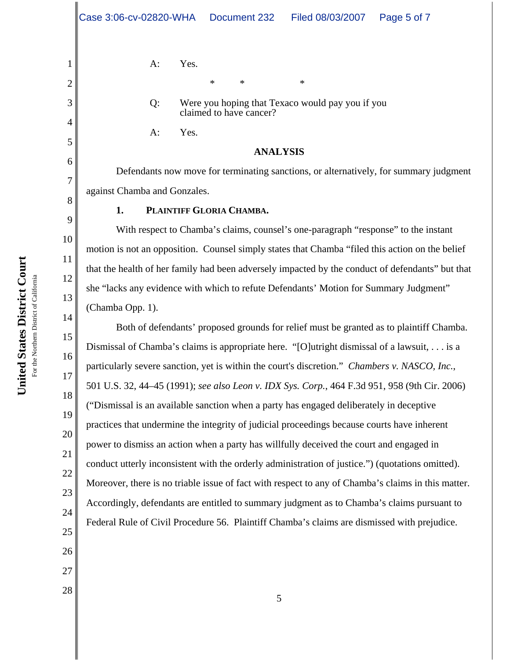\*\* \*

Q: Were you hoping that Texaco would pay you if you claimed to have cancer?

A: Yes.

## **ANALYSIS**

Defendants now move for terminating sanctions, or alternatively, for summary judgment against Chamba and Gonzales.

## **1. PLAINTIFF GLORIA CHAMBA.**

With respect to Chamba's claims, counsel's one-paragraph "response" to the instant motion is not an opposition. Counsel simply states that Chamba "filed this action on the belief that the health of her family had been adversely impacted by the conduct of defendants" but that she "lacks any evidence with which to refute Defendants' Motion for Summary Judgment" (Chamba Opp. 1).

Both of defendants' proposed grounds for relief must be granted as to plaintiff Chamba. Dismissal of Chamba's claims is appropriate here. "[O]utright dismissal of a lawsuit, . . . is a particularly severe sanction, yet is within the court's discretion." *Chambers v. NASCO, Inc.*, 501 U.S. 32, 44–45 (1991); *see also Leon v. IDX Sys. Corp.*, 464 F.3d 951, 958 (9th Cir. 2006) ("Dismissal is an available sanction when a party has engaged deliberately in deceptive practices that undermine the integrity of judicial proceedings because courts have inherent power to dismiss an action when a party has willfully deceived the court and engaged in conduct utterly inconsistent with the orderly administration of justice.") (quotations omitted). Moreover, there is no triable issue of fact with respect to any of Chamba's claims in this matter. Accordingly, defendants are entitled to summary judgment as to Chamba's claims pursuant to Federal Rule of Civil Procedure 56. Plaintiff Chamba's claims are dismissed with prejudice.

1

2

3

4

5

6

7

8

9

10

11

12

13

14

15

16

17

18

19

20

21

22

23

24

25

26

27

28

**United States District Court**

United States District Court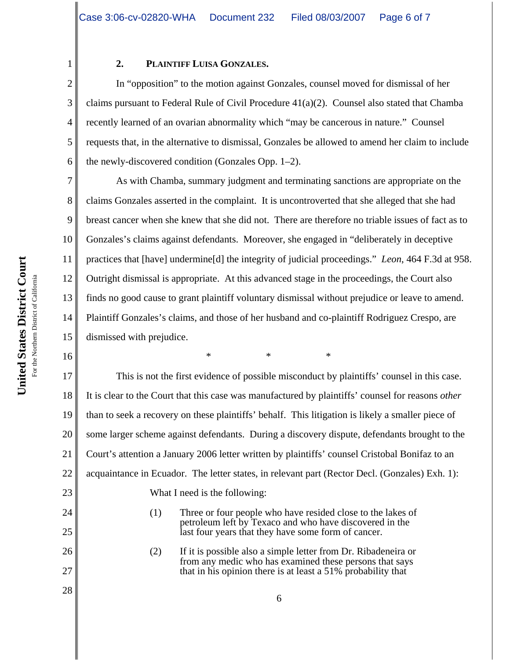| $\overline{2}$ |
|----------------|
| 3              |
| 4              |
| 5              |
| 6              |
| 7              |

11

16

24

25

26

27

28

1

## **2. PLAINTIFF LUISA GONZALES.**

In "opposition" to the motion against Gonzales, counsel moved for dismissal of her claims pursuant to Federal Rule of Civil Procedure  $41(a)(2)$ . Counsel also stated that Chamba recently learned of an ovarian abnormality which "may be cancerous in nature." Counsel requests that, in the alternative to dismissal, Gonzales be allowed to amend her claim to include the newly-discovered condition (Gonzales Opp. 1–2).

8 9 10 12 13 14 15 As with Chamba, summary judgment and terminating sanctions are appropriate on the claims Gonzales asserted in the complaint. It is uncontroverted that she alleged that she had breast cancer when she knew that she did not. There are therefore no triable issues of fact as to Gonzales's claims against defendants. Moreover, she engaged in "deliberately in deceptive practices that [have] undermine[d] the integrity of judicial proceedings." *Leon*, 464 F.3d at 958. Outright dismissal is appropriate. At this advanced stage in the proceedings, the Court also finds no good cause to grant plaintiff voluntary dismissal without prejudice or leave to amend. Plaintiff Gonzales's claims, and those of her husband and co-plaintiff Rodriguez Crespo, are dismissed with prejudice.

\*\*\*

17 18 19 20 21 22 23 This is not the first evidence of possible misconduct by plaintiffs' counsel in this case. It is clear to the Court that this case was manufactured by plaintiffs' counsel for reasons *other* than to seek a recovery on these plaintiffs' behalf. This litigation is likely a smaller piece of some larger scheme against defendants. During a discovery dispute, defendants brought to the Court's attention a January 2006 letter written by plaintiffs' counsel Cristobal Bonifaz to an acquaintance in Ecuador. The letter states, in relevant part (Rector Decl. (Gonzales) Exh. 1): What I need is the following:

- (1) Three or four people who have resided close to the lakes of petroleum left by Texaco and who have discovered in the last four years that they have some form of cancer.
- (2) If it is possible also a simple letter from Dr. Ribadeneira or from any medic who has examined these persons that says that in his opinion there is at least a 51% probability that